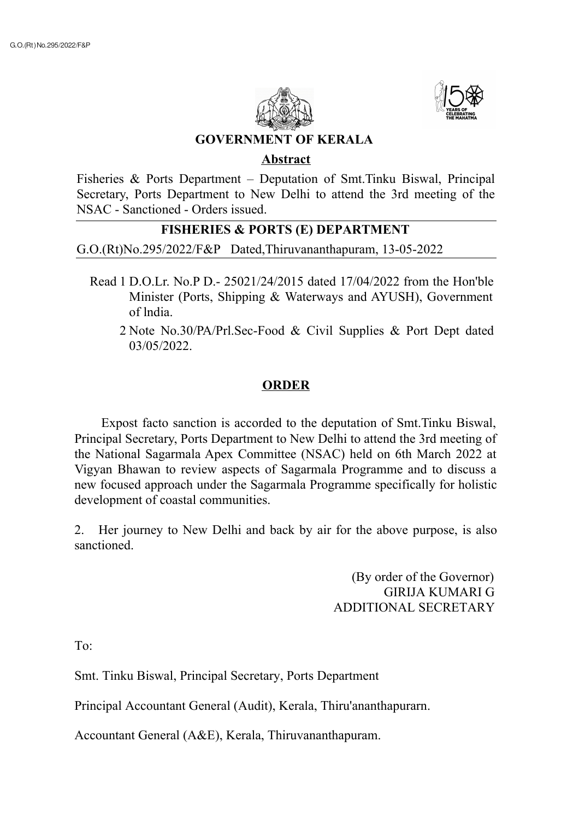



**GOVERNMENT OF KERALA**

## **Abstract**

Fisheries & Ports Department – Deputation of Smt.Tinku Biswal, Principal Secretary, Ports Department to New Delhi to attend the 3rd meeting of the NSAC - Sanctioned - Orders issued.

## **FISHERIES & PORTS (E) DEPARTMENT**

G.O.(Rt)No.295/2022/F&P Dated,Thiruvananthapuram, 13-05-2022

- Read 1 D.O.Lr. No.P D.- 25021/24/2015 dated 17/04/2022 from the Hon'ble Minister (Ports, Shipping & Waterways and AYUSH), Government of lndia.
	- 2 Note No.30/PA/Prl.Sec-Food & Civil Supplies & Port Dept dated 03/05/2022.

## **ORDER**

Expost facto sanction is accorded to the deputation of Smt.Tinku Biswal, Principal Secretary, Ports Department to New Delhi to attend the 3rd meeting of the National Sagarmala Apex Committee (NSAC) held on 6th March 2022 at Vigyan Bhawan to review aspects of Sagarmala Programme and to discuss a new focused approach under the Sagarmala Programme specifically for holistic development of coastal communities.

2. Her journey to New Delhi and back by air for the above purpose, is also sanctioned.

> (By order of the Governor) GIRIJA KUMARI G ADDITIONAL SECRETARY

 $To^{\dagger}$ 

Smt. Tinku Biswal, Principal Secretary, Ports Department

Principal Accountant General (Audit), Kerala, Thiru'ananthapurarn.

Accountant General (A&E), Kerala, Thiruvananthapuram.